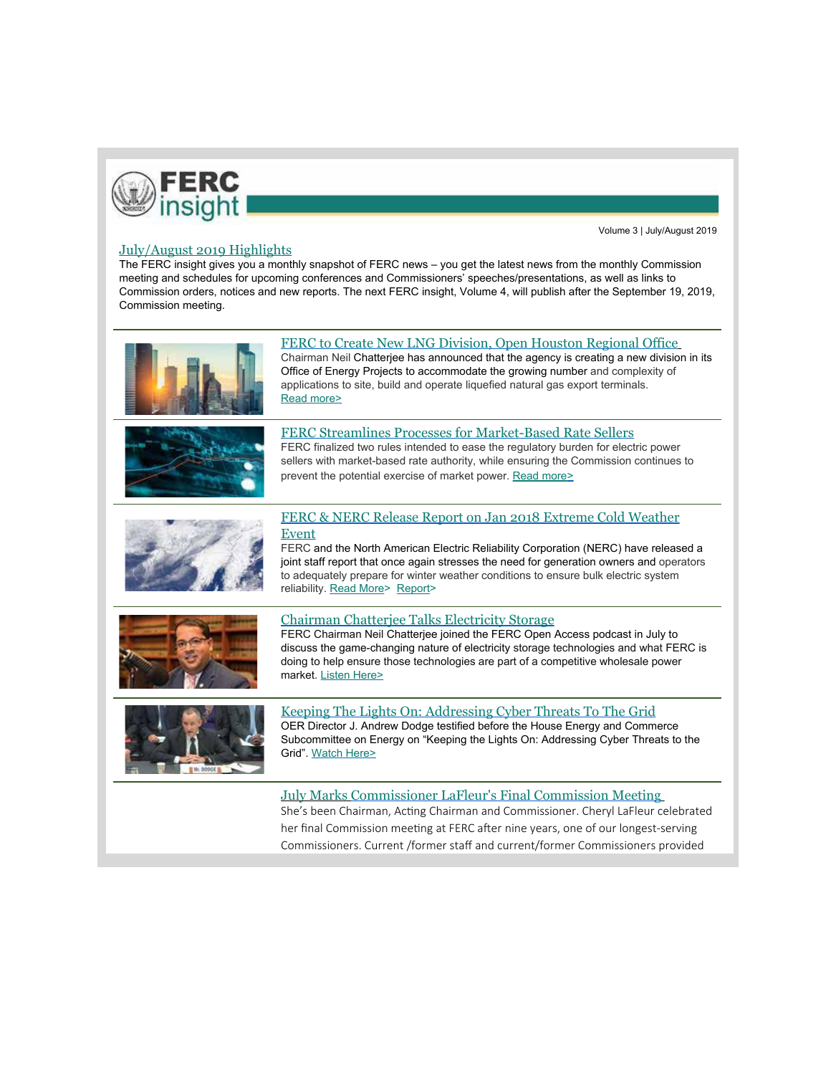

Volume 3 | July/August 2019

## July/August 2019 Highlights

The FERC insight gives you a monthly snapshot of FERC news – you get the latest news from the monthly Commission meeting and schedules for upcoming conferences and Commissioners' speeches/presentations, as well as links to Commission orders, notices and new reports. The next FERC insight, Volume 4, will publish after the September 19, 2019, Commission meeting.

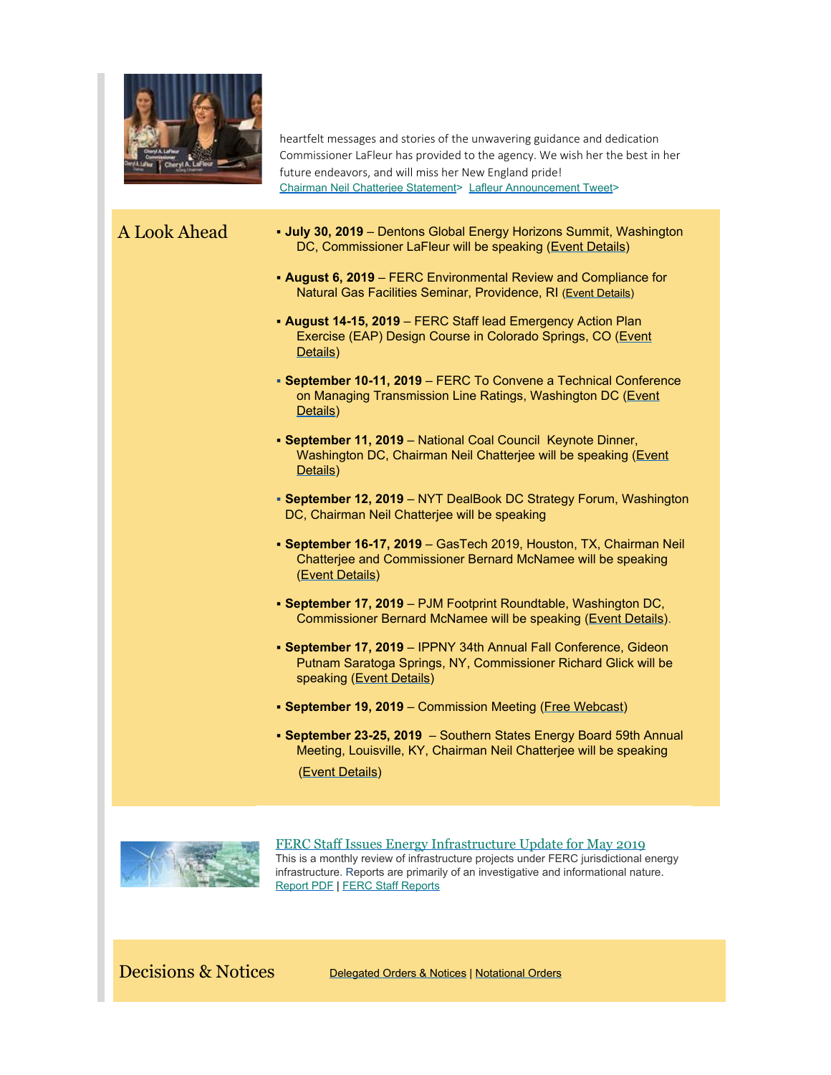

heartfelt messages and stories of the unwavering guidance and dedication Commissioner LaFleur has provided to the agency. We wish her the best in her future endeavors, and will miss her New England pride! [Chairman Neil Chatterjee Statement](https://www.ferc.gov/media/statements-speeches/chatterjee/2019/06-20-19-chatterjee.asp#.XRDKfoJKhhE)> [Lafleur Announcement Tweet](https://twitter.com/CLaFleurFERC/status/1141783991982395393)>

- A Look Ahead § **July 30, 2019**  Dentons Global Energy Horizons Summit, Washington DC, Commissioner LaFleur will be speaking ([Event Details](https://www.dentons.com/en/whats-different-about-dentons/connecting-you-to-talented-lawyers-around-the-globe/events/2019/july/30/global-energy-horizons-summit))
	- § **August 6, 2019**  FERC Environmental Review and Compliance for Natural Gas Facilities Seminar, Providence, RI [\(Event Details](http://www.ferc.gov/EventCalendar/EventDetails.aspx?ID=13332&CalType=%20&CalendarID=116&Date=08/06/2019&View=Listview))
	- § **August 14-15, 2019**  FERC Staff lead Emergency Action Plan Exercise (EAP) Design Course in Colorado Springs, CO [\(Event](http://www.ferc.gov/EventCalendar/EventDetails.aspx?ID=13433&CalType=%20&CalendarID=116&Date=08/14/2019&View=Listview) [Details](http://www.ferc.gov/EventCalendar/EventDetails.aspx?ID=13433&CalType=%20&CalendarID=116&Date=08/14/2019&View=Listview))
	- § **September 10-11, 2019**  FERC To Convene a Technical Conference on Managing Transmission Line Ratings, Washington DC [\(Event](https://www.ferc.gov/EventCalendar/EventDetails.aspx?ID=13476&CalType=%20&CalendarID=116&Date=09/10/2019&View=Listview) [Details](https://www.ferc.gov/EventCalendar/EventDetails.aspx?ID=13476&CalType=%20&CalendarID=116&Date=09/10/2019&View=Listview))
	- § **September 11, 2019**  National Coal Council Keynote Dinner, Washington DC, Chairman Neil Chatterjee will be speaking ([Event](https://www.nationalcoalcouncil.org/page-NCC-Events.html) [Details](https://www.nationalcoalcouncil.org/page-NCC-Events.html))
	- § **September 12, 2019**  NYT DealBook DC Strategy Forum, Washington DC, Chairman Neil Chatterjee will be speaking
	- § **September 16-17, 2019**  GasTech 2019, Houston, TX, Chairman Neil Chatterjee and Commissioner Bernard McNamee will be speaking [\(Event Details](https://www.gastechevent.com/exhibition/visit-the-exhibition/?utm_source=google&utm_medium=cpc&utm_campaign=tagdigital&utm_term=gastech%202019&utm_campaign=S+%7C+B+%7C+Gastech+2019+Houston+%7C+Visitors&utm_source=adwords&utm_medium=ppc&hsa_tgt=kwd-566439815904&hsa_grp=73523239089&hsa_src=g&hsa_net=adwords&hsa_mt=e&hsa_ver=3&hsa_ad=351405770343&hsa_acc=4100170472&hsa_kw=gastech%202019&hsa_cam=1953860283&gclid=CjwKCAjwg-DpBRBbEiwAEV1_-Fnvtto0HLsb-hv8uan2bsUmaWYD-A4nhXeMD8QFuczgELcR99ZimBoClukQAvD_BwE))
	- § **September 17, 2019**  PJM Footprint Roundtable, Washington DC, Commissioner Bernard McNamee will be speaking ([Event Details](http://pjm.raabassociates.org/main/roundtable.asp)).
	- § **September 17, 2019**  IPPNY 34th Annual Fall Conference, Gideon Putnam Saratoga Springs, NY, Commissioner Richard Glick will be speaking ([Event Details\)](http://www.ippny.org/page/fall-conference-2019-202.html)
	- § **September 19, 2019**  Commission Meeting [\(Free Webcast](http://ferc.capitolconnection.org/))
	- § **September 23-25, 2019**  Southern States Energy Board 59th Annual Meeting, Louisville, KY, Chairman Neil Chatterjee will be speaking [\(Event Details](https://www.sseb.org/am59/))



FERC Staff Issues Energy Infrastructure Update for May 2019 This is a monthly review of infrastructure projects under FERC jurisdictional energy infrastructure. [Reports are primarily of an investigative and informational natu](https://www.ferc.gov/legal/staff-reports/2019/may-energy-infrastructure.pdf)re. Report PDF | [FERC Staff Reports](https://www.ferc.gov/legal/staff-reports.asp)

Decisions & Notices [Delegated Orders](https://www.ferc.gov/docs-filing/dec-not.asp) & Notices | [Notational Orders](https://www.ferc.gov/EventCalendar/EventsList.aspx?View=listview&CalendarID=101&IsSearch=false&Date=05/10/2019)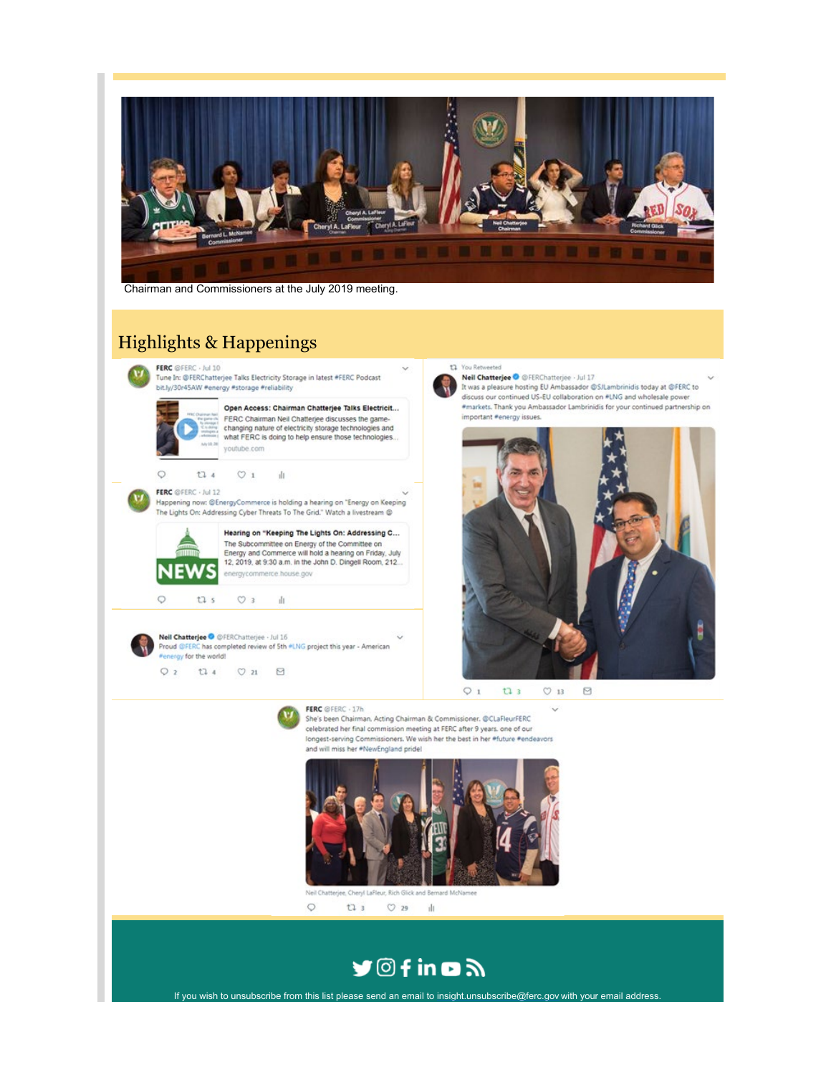

Chairman and Commissioners at the July 2019 meeting.

## **Highlights & Happenings**

FERC @FERC - Jul 10 Tune In: @FERChatterjee Talks Electricity Storage in latest #FERC Podcast bit.ly/30r45AW #energy #storage #reliability

# Open Access: Chairman Chatterjee Talks Electricit...

FERC Chairman Neil Chatterjee discusses the game-<br>changing nature of electricity storage technologies and what FERC is doing to help ensure those technologies... youtube.com

 $t34$  $\circ$  1 市

### FERC @FERC - Jul 12

 $\circ$ 

Happening now: @EnergyCommerce is holding a hearing on "Energy on Keeping The Lights On: Addressing Cyber Threats To The Grid." Watch a livestream @



Hearing on "Keeping The Lights On: Addressing C... The Subcommittee on Energy of the Committee on<br>Energy and Commerce will hold a hearing on Friday, July 12, 2019, at 9:30 a.m. in the John D. Dingell Room, 212. energycommerce.house.gov

 $\circ$  $t1 s$ 

Neil Chatterjee O @FERChatterjee - Jul 16 Proud @FERC has completed review of 5th #LNG project this year - American Penergy for the world!

dı.

 $\circ$  3

 $Q<sub>2</sub>$  $t1.4$  $\heartsuit$ 21  $\qquad \qquad \boxtimes$ 



She's been Chairman. Acting Chairman & Commissioner. @CLaFleurFERC celebrated her final commission meeting at FERC after 9 years, one of our longest-serving Commissioners. We wish her the best in her #future #endeavors and will miss her \*NewEngland pride!



Neil Chatterjee, Cheryl LaFleur, Rich Glick and Bernard McNamee  $\circ$  $O$  29  $t13$  $\mathbf{d}$ 



If you wish to unsubscribe from this list please send an email to insight.unsubscribe@ferc.gov with your email address

### 11 You Retweeted

Neil Chatterjee O @FERChatterjee . Jul 17 It was a pleasure hosting EU Ambassador @SJLambrinidis today at @FERC to discuss our continued US-EU collaboration on #LNG and wholesale power #markets. Thank you Ambassador Lambrinidis for your continued partnership on important #energy issues.



 $Q_1$  $t3$  $O$  13